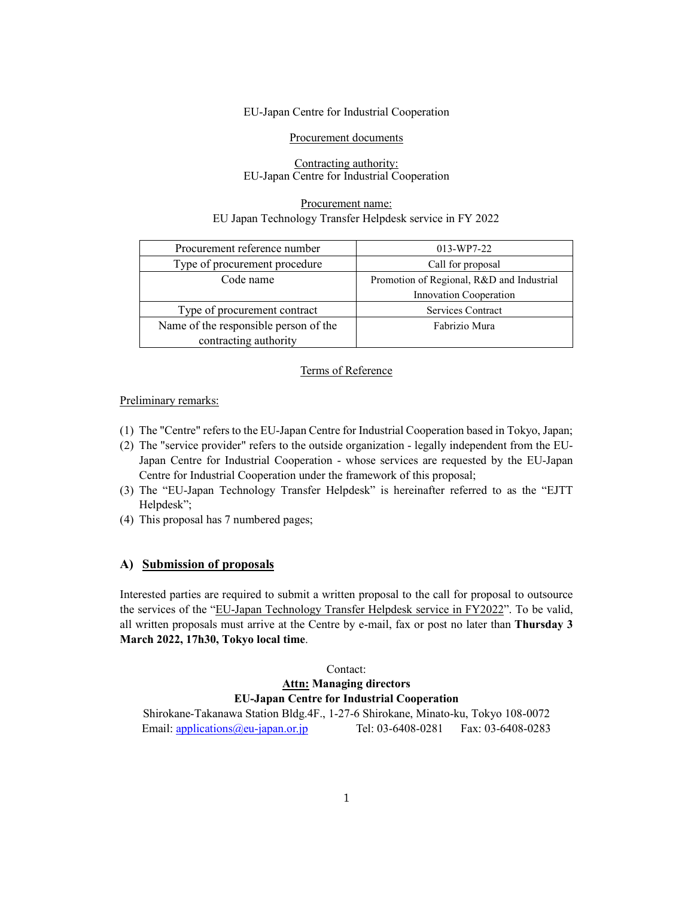#### EU-Japan Centre for Industrial Cooperation

Procurement documents

#### Contracting authority: EU-Japan Centre for Industrial Cooperation

### Procurement name: EU Japan Technology Transfer Helpdesk service in FY 2022

| Procurement reference number          | 013-WP7-22                                |
|---------------------------------------|-------------------------------------------|
| Type of procurement procedure         | Call for proposal                         |
| Code name                             | Promotion of Regional, R&D and Industrial |
|                                       | Innovation Cooperation                    |
| Type of procurement contract          | Services Contract                         |
| Name of the responsible person of the | Fabrizio Mura                             |
| contracting authority                 |                                           |

#### Terms of Reference

#### Preliminary remarks:

- (1) The "Centre" refers to the EU-Japan Centre for Industrial Cooperation based in Tokyo, Japan;
- (2) The "service provider" refers to the outside organization legally independent from the EU-Japan Centre for Industrial Cooperation - whose services are requested by the EU-Japan Centre for Industrial Cooperation under the framework of this proposal;
- (3) The "EU-Japan Technology Transfer Helpdesk" is hereinafter referred to as the "EJTT Helpdesk";
- (4) This proposal has 7 numbered pages;

### **A) Submission of proposals**

Interested parties are required to submit a written proposal to the call for proposal to outsource the services of the "EU-Japan Technology Transfer Helpdesk service in FY2022". To be valid, all written proposals must arrive at the Centre by e-mail, fax or post no later than **Thursday 3 March 2022, 17h30, Tokyo local time**.

#### Contact:

## **Attn: Managing directors EU-Japan Centre for Industrial Cooperation**

Shirokane-Takanawa Station Bldg.4F., 1-27-6 Shirokane, Minato-ku, Tokyo 108-0072 Email: applications@eu-japan.or.jp Tel: 03-6408-0281 Fax: 03-6408-0283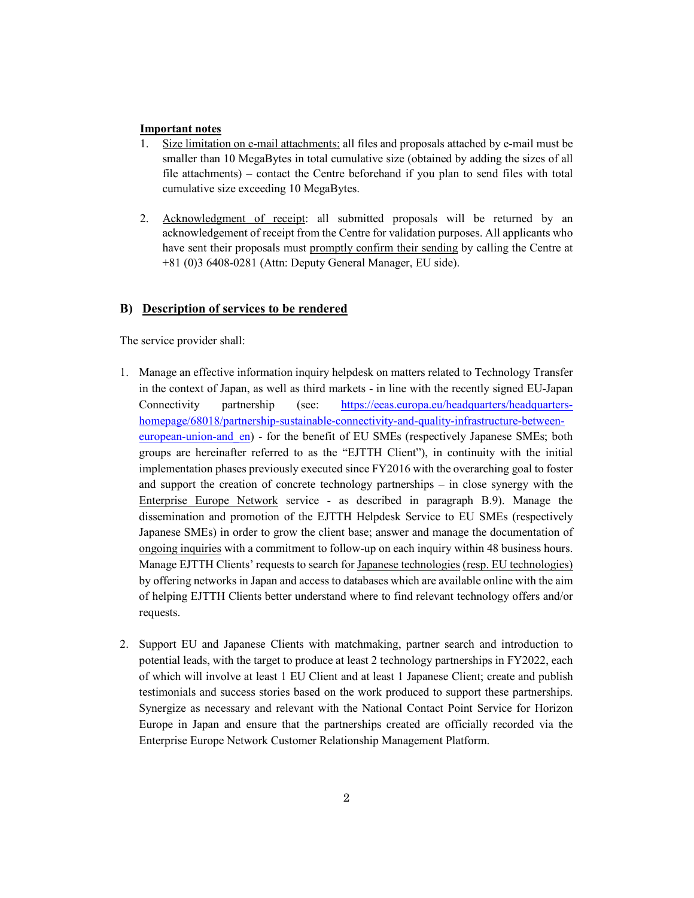### **Important notes**

- 1. Size limitation on e-mail attachments: all files and proposals attached by e-mail must be smaller than 10 MegaBytes in total cumulative size (obtained by adding the sizes of all file attachments) – contact the Centre beforehand if you plan to send files with total cumulative size exceeding 10 MegaBytes.
- 2. Acknowledgment of receipt: all submitted proposals will be returned by an acknowledgement of receipt from the Centre for validation purposes. All applicants who have sent their proposals must promptly confirm their sending by calling the Centre at +81 (0)3 6408-0281 (Attn: Deputy General Manager, EU side).

### **B) Description of services to be rendered**

The service provider shall:

- 1. Manage an effective information inquiry helpdesk on matters related to Technology Transfer in the context of Japan, as well as third markets - in line with the recently signed EU-Japan Connectivity partnership (see: https://eeas.europa.eu/headquarters/headquartershomepage/68018/partnership-sustainable-connectivity-and-quality-infrastructure-betweeneuropean-union-and en) - for the benefit of EU SMEs (respectively Japanese SMEs; both groups are hereinafter referred to as the "EJTTH Client"), in continuity with the initial implementation phases previously executed since FY2016 with the overarching goal to foster and support the creation of concrete technology partnerships – in close synergy with the Enterprise Europe Network service - as described in paragraph B.9). Manage the dissemination and promotion of the EJTTH Helpdesk Service to EU SMEs (respectively Japanese SMEs) in order to grow the client base; answer and manage the documentation of ongoing inquiries with a commitment to follow-up on each inquiry within 48 business hours. Manage EJTTH Clients' requests to search for Japanese technologies (resp. EU technologies) by offering networks in Japan and access to databases which are available online with the aim of helping EJTTH Clients better understand where to find relevant technology offers and/or requests.
- 2. Support EU and Japanese Clients with matchmaking, partner search and introduction to potential leads, with the target to produce at least 2 technology partnerships in FY2022, each of which will involve at least 1 EU Client and at least 1 Japanese Client; create and publish testimonials and success stories based on the work produced to support these partnerships. Synergize as necessary and relevant with the National Contact Point Service for Horizon Europe in Japan and ensure that the partnerships created are officially recorded via the Enterprise Europe Network Customer Relationship Management Platform.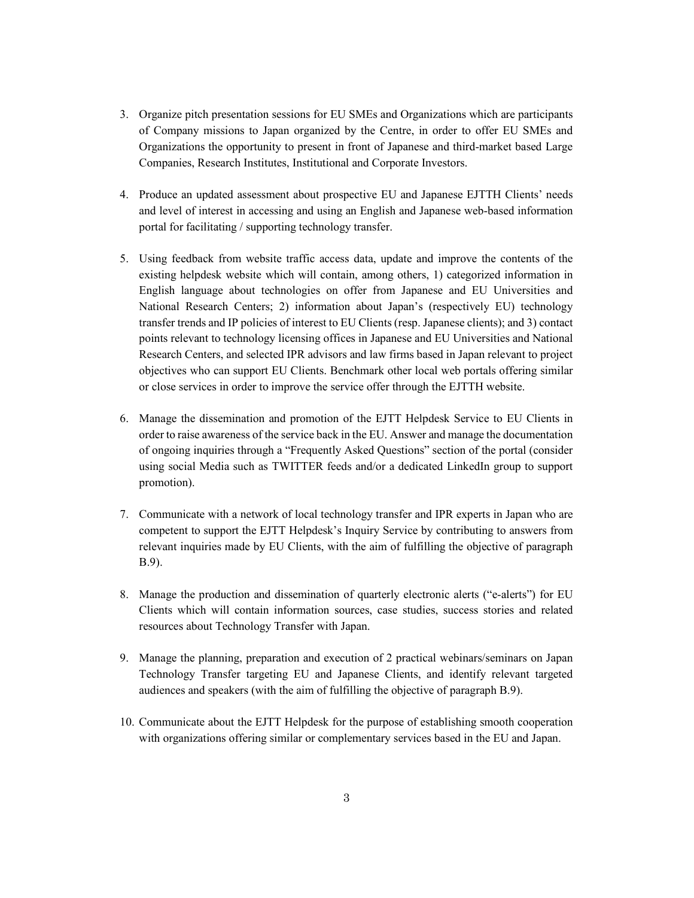- 3. Organize pitch presentation sessions for EU SMEs and Organizations which are participants of Company missions to Japan organized by the Centre, in order to offer EU SMEs and Organizations the opportunity to present in front of Japanese and third-market based Large Companies, Research Institutes, Institutional and Corporate Investors.
- 4. Produce an updated assessment about prospective EU and Japanese EJTTH Clients' needs and level of interest in accessing and using an English and Japanese web-based information portal for facilitating / supporting technology transfer.
- 5. Using feedback from website traffic access data, update and improve the contents of the existing helpdesk website which will contain, among others, 1) categorized information in English language about technologies on offer from Japanese and EU Universities and National Research Centers; 2) information about Japan's (respectively EU) technology transfer trends and IP policies of interest to EU Clients (resp. Japanese clients); and 3) contact points relevant to technology licensing offices in Japanese and EU Universities and National Research Centers, and selected IPR advisors and law firms based in Japan relevant to project objectives who can support EU Clients. Benchmark other local web portals offering similar or close services in order to improve the service offer through the EJTTH website.
- 6. Manage the dissemination and promotion of the EJTT Helpdesk Service to EU Clients in order to raise awareness of the service back in the EU. Answer and manage the documentation of ongoing inquiries through a "Frequently Asked Questions" section of the portal (consider using social Media such as TWITTER feeds and/or a dedicated LinkedIn group to support promotion).
- 7. Communicate with a network of local technology transfer and IPR experts in Japan who are competent to support the EJTT Helpdesk's Inquiry Service by contributing to answers from relevant inquiries made by EU Clients, with the aim of fulfilling the objective of paragraph B.9).
- 8. Manage the production and dissemination of quarterly electronic alerts ("e-alerts") for EU Clients which will contain information sources, case studies, success stories and related resources about Technology Transfer with Japan.
- 9. Manage the planning, preparation and execution of 2 practical webinars/seminars on Japan Technology Transfer targeting EU and Japanese Clients, and identify relevant targeted audiences and speakers (with the aim of fulfilling the objective of paragraph B.9).
- 10. Communicate about the EJTT Helpdesk for the purpose of establishing smooth cooperation with organizations offering similar or complementary services based in the EU and Japan.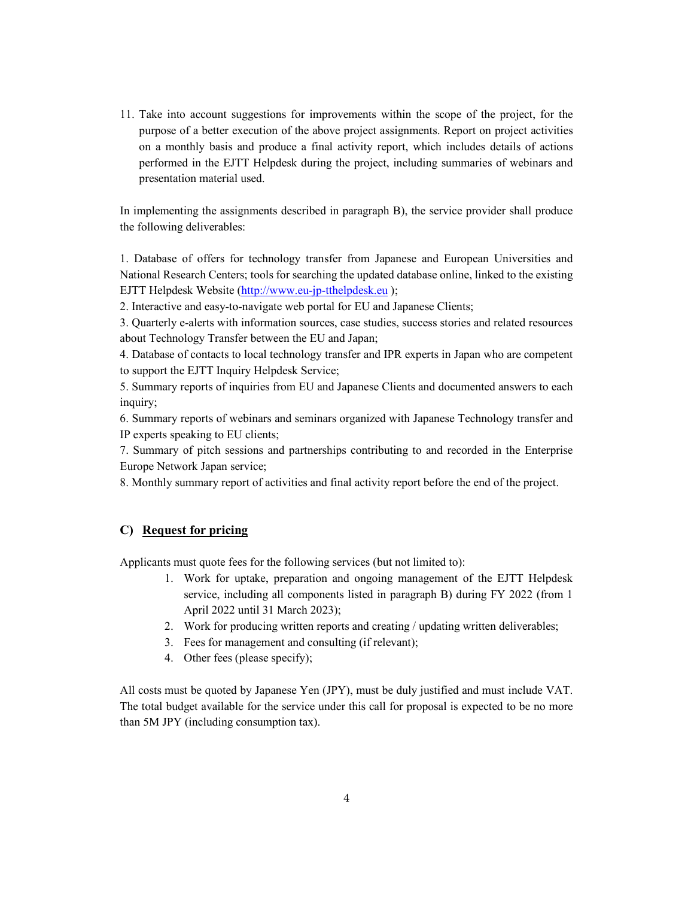11. Take into account suggestions for improvements within the scope of the project, for the purpose of a better execution of the above project assignments. Report on project activities on a monthly basis and produce a final activity report, which includes details of actions performed in the EJTT Helpdesk during the project, including summaries of webinars and presentation material used.

In implementing the assignments described in paragraph B), the service provider shall produce the following deliverables:

1. Database of offers for technology transfer from Japanese and European Universities and National Research Centers; tools for searching the updated database online, linked to the existing EJTT Helpdesk Website (http://www.eu-jp-tthelpdesk.eu );

2. Interactive and easy-to-navigate web portal for EU and Japanese Clients;

3. Quarterly e-alerts with information sources, case studies, success stories and related resources about Technology Transfer between the EU and Japan;

4. Database of contacts to local technology transfer and IPR experts in Japan who are competent to support the EJTT Inquiry Helpdesk Service;

5. Summary reports of inquiries from EU and Japanese Clients and documented answers to each inquiry;

6. Summary reports of webinars and seminars organized with Japanese Technology transfer and IP experts speaking to EU clients;

7. Summary of pitch sessions and partnerships contributing to and recorded in the Enterprise Europe Network Japan service;

8. Monthly summary report of activities and final activity report before the end of the project.

### **C) Request for pricing**

Applicants must quote fees for the following services (but not limited to):

- 1. Work for uptake, preparation and ongoing management of the EJTT Helpdesk service, including all components listed in paragraph B) during FY 2022 (from 1 April 2022 until 31 March 2023);
- 2. Work for producing written reports and creating / updating written deliverables;
- 3. Fees for management and consulting (if relevant);
- 4. Other fees (please specify);

All costs must be quoted by Japanese Yen (JPY), must be duly justified and must include VAT. The total budget available for the service under this call for proposal is expected to be no more than 5M JPY (including consumption tax).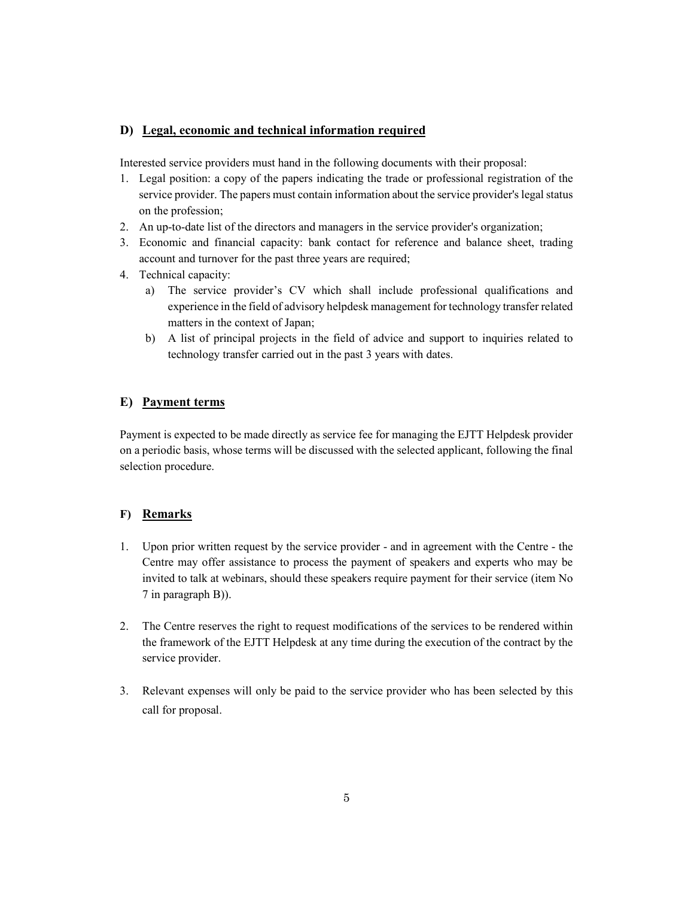## **D) Legal, economic and technical information required**

Interested service providers must hand in the following documents with their proposal:

- 1. Legal position: a copy of the papers indicating the trade or professional registration of the service provider. The papers must contain information about the service provider's legal status on the profession;
- 2. An up-to-date list of the directors and managers in the service provider's organization;
- 3. Economic and financial capacity: bank contact for reference and balance sheet, trading account and turnover for the past three years are required;
- 4. Technical capacity:
	- a) The service provider's CV which shall include professional qualifications and experience in the field of advisory helpdesk management for technology transfer related matters in the context of Japan;
	- b) A list of principal projects in the field of advice and support to inquiries related to technology transfer carried out in the past 3 years with dates.

## **E) Payment terms**

Payment is expected to be made directly as service fee for managing the EJTT Helpdesk provider on a periodic basis, whose terms will be discussed with the selected applicant, following the final selection procedure.

## **F) Remarks**

- 1. Upon prior written request by the service provider and in agreement with the Centre the Centre may offer assistance to process the payment of speakers and experts who may be invited to talk at webinars, should these speakers require payment for their service (item No 7 in paragraph B)).
- 2. The Centre reserves the right to request modifications of the services to be rendered within the framework of the EJTT Helpdesk at any time during the execution of the contract by the service provider.
- 3. Relevant expenses will only be paid to the service provider who has been selected by this call for proposal.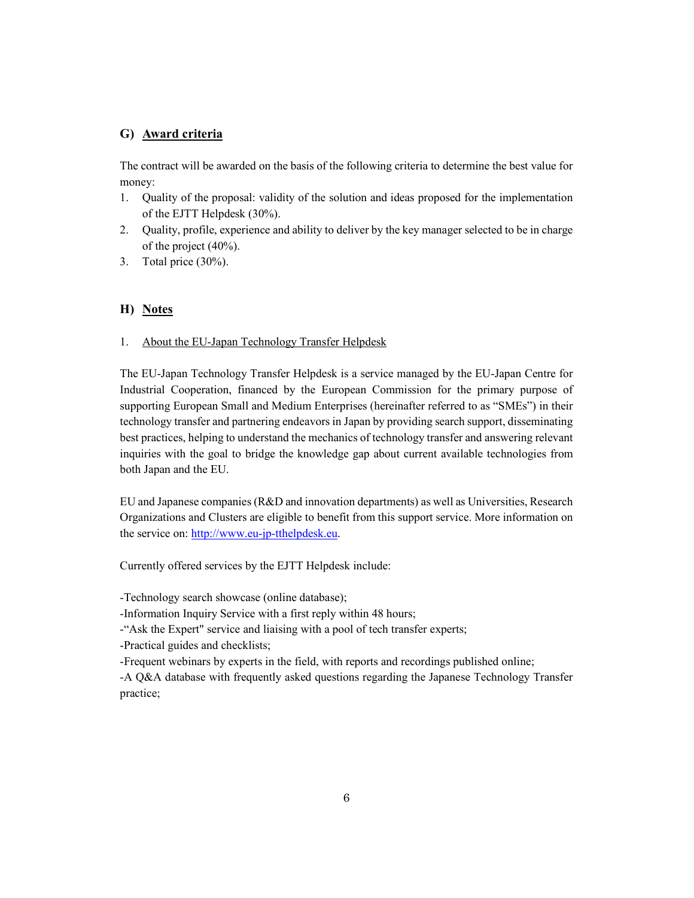# **G) Award criteria**

The contract will be awarded on the basis of the following criteria to determine the best value for money:

- 1. Quality of the proposal: validity of the solution and ideas proposed for the implementation of the EJTT Helpdesk (30%).
- 2. Quality, profile, experience and ability to deliver by the key manager selected to be in charge of the project (40%).
- 3. Total price (30%).

## **H) Notes**

### 1. About the EU-Japan Technology Transfer Helpdesk

The EU-Japan Technology Transfer Helpdesk is a service managed by the EU-Japan Centre for Industrial Cooperation, financed by the European Commission for the primary purpose of supporting European Small and Medium Enterprises (hereinafter referred to as "SMEs") in their technology transfer and partnering endeavors in Japan by providing search support, disseminating best practices, helping to understand the mechanics of technology transfer and answering relevant inquiries with the goal to bridge the knowledge gap about current available technologies from both Japan and the EU.

EU and Japanese companies (R&D and innovation departments) as well as Universities, Research Organizations and Clusters are eligible to benefit from this support service. More information on the service on: http://www.eu-jp-tthelpdesk.eu.

Currently offered services by the EJTT Helpdesk include:

-Technology search showcase (online database);

-Information Inquiry Service with a first reply within 48 hours;

-"Ask the Expert" service and liaising with a pool of tech transfer experts;

-Practical guides and checklists;

-Frequent webinars by experts in the field, with reports and recordings published online;

-A Q&A database with frequently asked questions regarding the Japanese Technology Transfer practice;